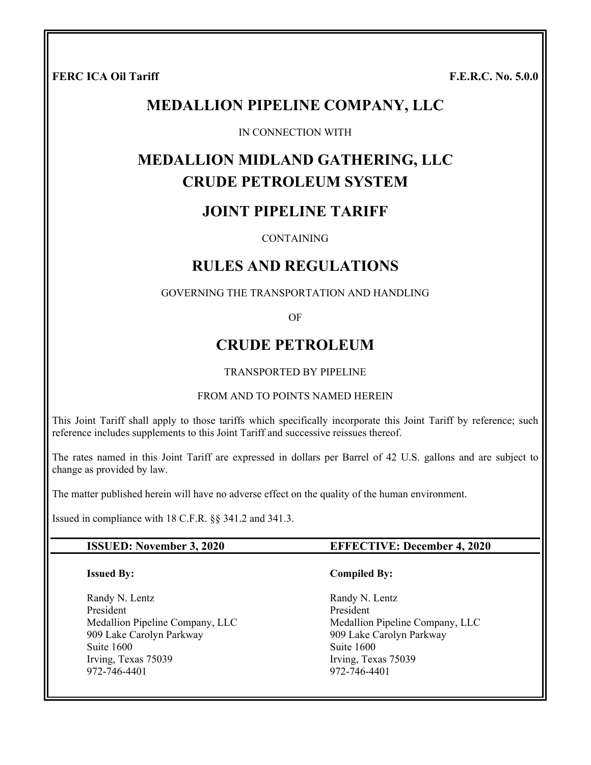FERC ICA Oil Tariff **F.E.R.C.** No. 5.0.0

# **MEDALLION PIPELINE COMPANY, LLC**

#### IN CONNECTION WITH

# **MEDALLION MIDLAND GATHERING, LLC CRUDE PETROLEUM SYSTEM**

# **JOINT PIPELINE TARIFF**

**CONTAINING** 

# **RULES AND REGULATIONS**

GOVERNING THE TRANSPORTATION AND HANDLING

OF

# **CRUDE PETROLEUM**

#### TRANSPORTED BY PIPELINE

#### FROM AND TO POINTS NAMED HEREIN

This Joint Tariff shall apply to those tariffs which specifically incorporate this Joint Tariff by reference; such reference includes supplements to this Joint Tariff and successive reissues thereof.

The rates named in this Joint Tariff are expressed in dollars per Barrel of 42 U.S. gallons and are subject to change as provided by law.

The matter published herein will have no adverse effect on the quality of the human environment.

Issued in compliance with 18 C.F.R. §§ 341.2 and 341.3.

#### **ISSUED: November 3, 2020 EFFECTIVE: December 4, 2020**

#### **Issued By:**

Randy N. Lentz President Medallion Pipeline Company, LLC 909 Lake Carolyn Parkway Suite 1600 Irving, Texas 75039 972-746-4401

#### **Compiled By:**

Randy N. Lentz President Medallion Pipeline Company, LLC 909 Lake Carolyn Parkway Suite 1600 Irving, Texas 75039 972-746-4401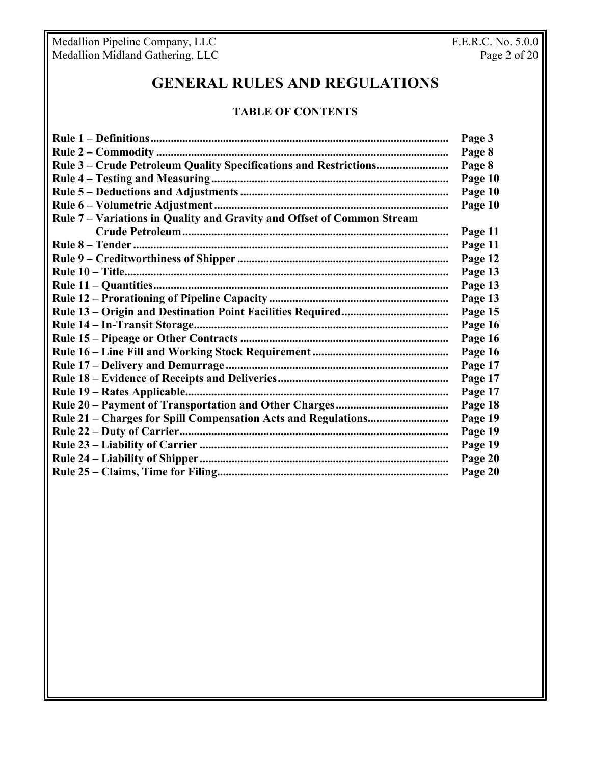Medallion Pipeline Company, LLC **F.E.R.C. No. 5.0.0** Medallion Midland Gathering, LLC **Page 2 of 20** 

# **GENERAL RULES AND REGULATIONS**

# **TABLE OF CONTENTS**

| Rule 7 - Variations in Quality and Gravity and Offset of Common Stream | Page 3  |
|------------------------------------------------------------------------|---------|
|                                                                        | Page 8  |
|                                                                        | Page 8  |
|                                                                        | Page 10 |
|                                                                        | Page 10 |
|                                                                        | Page 10 |
|                                                                        |         |
|                                                                        | Page 11 |
|                                                                        | Page 11 |
|                                                                        | Page 12 |
|                                                                        | Page 13 |
|                                                                        | Page 13 |
|                                                                        | Page 13 |
|                                                                        | Page 15 |
|                                                                        | Page 16 |
|                                                                        | Page 16 |
|                                                                        | Page 16 |
|                                                                        | Page 17 |
|                                                                        | Page 17 |
|                                                                        | Page 17 |
|                                                                        | Page 18 |
|                                                                        | Page 19 |
|                                                                        | Page 19 |
|                                                                        | Page 19 |
|                                                                        | Page 20 |
|                                                                        | Page 20 |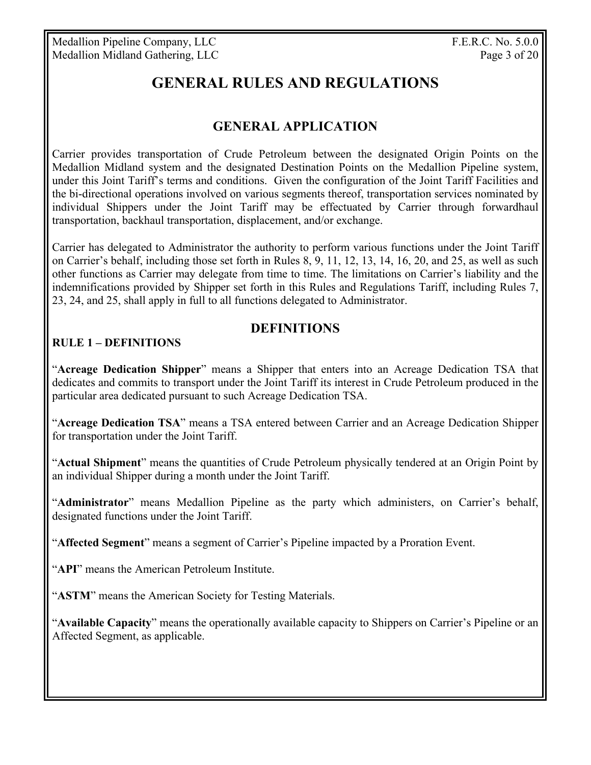Medallion Pipeline Company, LLC F.E.R.C. No. 5.0.0 Medallion Midland Gathering, LLC Page 3 of 20

# **GENERAL RULES AND REGULATIONS**

# **GENERAL APPLICATION**

Carrier provides transportation of Crude Petroleum between the designated Origin Points on the Medallion Midland system and the designated Destination Points on the Medallion Pipeline system, under this Joint Tariff's terms and conditions. Given the configuration of the Joint Tariff Facilities and the bi-directional operations involved on various segments thereof, transportation services nominated by individual Shippers under the Joint Tariff may be effectuated by Carrier through forwardhaul transportation, backhaul transportation, displacement, and/or exchange.

Carrier has delegated to Administrator the authority to perform various functions under the Joint Tariff on Carrier's behalf, including those set forth in Rules 8, 9, 11, 12, 13, 14, 16, 20, and 25, as well as such other functions as Carrier may delegate from time to time. The limitations on Carrier's liability and the indemnifications provided by Shipper set forth in this Rules and Regulations Tariff, including Rules 7, 23, 24, and 25, shall apply in full to all functions delegated to Administrator.

# **DEFINITIONS**

## **RULE 1 – DEFINITIONS**

"**Acreage Dedication Shipper**" means a Shipper that enters into an Acreage Dedication TSA that dedicates and commits to transport under the Joint Tariff its interest in Crude Petroleum produced in the particular area dedicated pursuant to such Acreage Dedication TSA.

"**Acreage Dedication TSA**" means a TSA entered between Carrier and an Acreage Dedication Shipper for transportation under the Joint Tariff.

"**Actual Shipment**" means the quantities of Crude Petroleum physically tendered at an Origin Point by an individual Shipper during a month under the Joint Tariff.

"**Administrator**" means Medallion Pipeline as the party which administers, on Carrier's behalf, designated functions under the Joint Tariff.

"**Affected Segment**" means a segment of Carrier's Pipeline impacted by a Proration Event.

"**API**" means the American Petroleum Institute.

"**ASTM**" means the American Society for Testing Materials.

"**Available Capacity**" means the operationally available capacity to Shippers on Carrier's Pipeline or an Affected Segment, as applicable.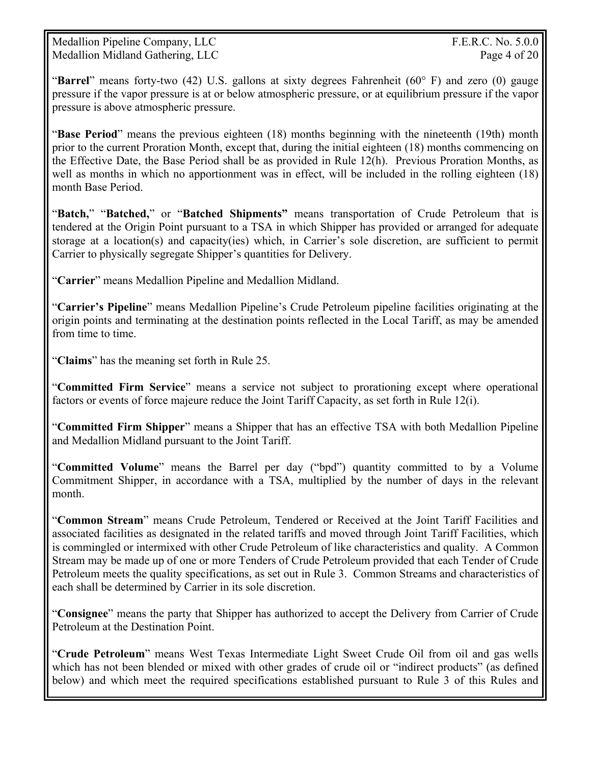Medallion Pipeline Company, LLC  $F.E.R.C. No. 5.0.0$ Medallion Midland Gathering, LLC Page 4 of 20

"**Barrel**" means forty-two (42) U.S. gallons at sixty degrees Fahrenheit (60° F) and zero (0) gauge pressure if the vapor pressure is at or below atmospheric pressure, or at equilibrium pressure if the vapor pressure is above atmospheric pressure.

"**Base Period**" means the previous eighteen (18) months beginning with the nineteenth (19th) month prior to the current Proration Month, except that, during the initial eighteen (18) months commencing on the Effective Date, the Base Period shall be as provided in Rule 12(h). Previous Proration Months, as well as months in which no apportionment was in effect, will be included in the rolling eighteen (18) month Base Period.

"**Batch,**" "**Batched,**" or "**Batched Shipments"** means transportation of Crude Petroleum that is tendered at the Origin Point pursuant to a TSA in which Shipper has provided or arranged for adequate storage at a location(s) and capacity(ies) which, in Carrier's sole discretion, are sufficient to permit Carrier to physically segregate Shipper's quantities for Delivery.

"**Carrier**" means Medallion Pipeline and Medallion Midland.

"**Carrier's Pipeline**" means Medallion Pipeline's Crude Petroleum pipeline facilities originating at the origin points and terminating at the destination points reflected in the Local Tariff, as may be amended from time to time.

"**Claims**" has the meaning set forth in Rule 25.

"**Committed Firm Service**" means a service not subject to prorationing except where operational factors or events of force majeure reduce the Joint Tariff Capacity, as set forth in Rule 12(i).

"**Committed Firm Shipper**" means a Shipper that has an effective TSA with both Medallion Pipeline and Medallion Midland pursuant to the Joint Tariff.

"**Committed Volume**" means the Barrel per day ("bpd") quantity committed to by a Volume Commitment Shipper, in accordance with a TSA, multiplied by the number of days in the relevant month.

"**Common Stream**" means Crude Petroleum, Tendered or Received at the Joint Tariff Facilities and associated facilities as designated in the related tariffs and moved through Joint Tariff Facilities, which is commingled or intermixed with other Crude Petroleum of like characteristics and quality. A Common Stream may be made up of one or more Tenders of Crude Petroleum provided that each Tender of Crude Petroleum meets the quality specifications, as set out in Rule 3. Common Streams and characteristics of each shall be determined by Carrier in its sole discretion.

"**Consignee**" means the party that Shipper has authorized to accept the Delivery from Carrier of Crude Petroleum at the Destination Point.

"**Crude Petroleum**" means West Texas Intermediate Light Sweet Crude Oil from oil and gas wells which has not been blended or mixed with other grades of crude oil or "indirect products" (as defined below) and which meet the required specifications established pursuant to Rule 3 of this Rules and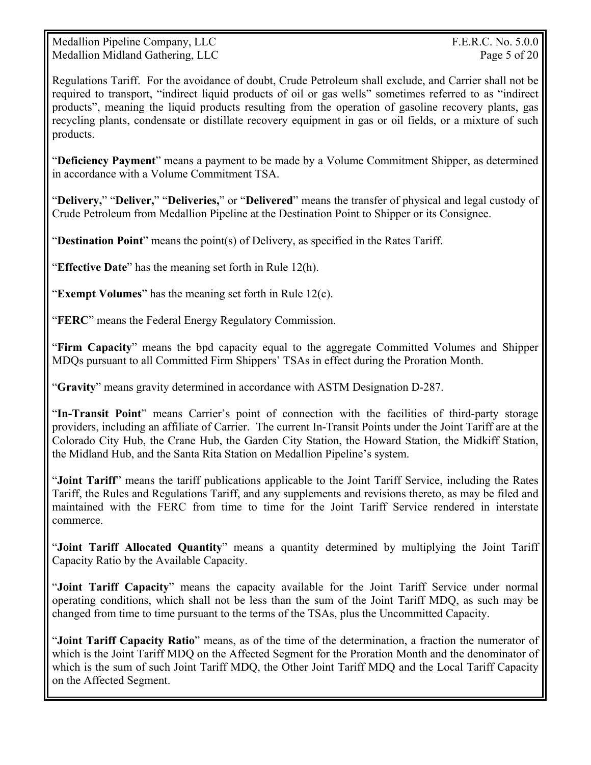Medallion Pipeline Company, LLC  $F.E.R.C. No. 5.0.0$ Medallion Midland Gathering, LLC Page 5 of 20

Regulations Tariff. For the avoidance of doubt, Crude Petroleum shall exclude, and Carrier shall not be required to transport, "indirect liquid products of oil or gas wells" sometimes referred to as "indirect products", meaning the liquid products resulting from the operation of gasoline recovery plants, gas recycling plants, condensate or distillate recovery equipment in gas or oil fields, or a mixture of such products.

"**Deficiency Payment**" means a payment to be made by a Volume Commitment Shipper, as determined in accordance with a Volume Commitment TSA.

"**Delivery,**" "**Deliver,**" "**Deliveries,**" or "**Delivered**" means the transfer of physical and legal custody of Crude Petroleum from Medallion Pipeline at the Destination Point to Shipper or its Consignee.

"**Destination Point**" means the point(s) of Delivery, as specified in the Rates Tariff.

"**Effective Date**" has the meaning set forth in Rule 12(h).

"**Exempt Volumes**" has the meaning set forth in Rule 12(c).

"**FERC**" means the Federal Energy Regulatory Commission.

"**Firm Capacity**" means the bpd capacity equal to the aggregate Committed Volumes and Shipper MDQs pursuant to all Committed Firm Shippers' TSAs in effect during the Proration Month.

"**Gravity**" means gravity determined in accordance with ASTM Designation D-287.

"**In-Transit Point**" means Carrier's point of connection with the facilities of third-party storage providers, including an affiliate of Carrier. The current In-Transit Points under the Joint Tariff are at the Colorado City Hub, the Crane Hub, the Garden City Station, the Howard Station, the Midkiff Station, the Midland Hub, and the Santa Rita Station on Medallion Pipeline's system.

"**Joint Tariff**" means the tariff publications applicable to the Joint Tariff Service, including the Rates Tariff, the Rules and Regulations Tariff, and any supplements and revisions thereto, as may be filed and maintained with the FERC from time to time for the Joint Tariff Service rendered in interstate commerce.

"**Joint Tariff Allocated Quantity**" means a quantity determined by multiplying the Joint Tariff Capacity Ratio by the Available Capacity.

"**Joint Tariff Capacity**" means the capacity available for the Joint Tariff Service under normal operating conditions, which shall not be less than the sum of the Joint Tariff MDQ, as such may be changed from time to time pursuant to the terms of the TSAs, plus the Uncommitted Capacity.

"**Joint Tariff Capacity Ratio**" means, as of the time of the determination, a fraction the numerator of which is the Joint Tariff MDQ on the Affected Segment for the Proration Month and the denominator of which is the sum of such Joint Tariff MDQ, the Other Joint Tariff MDQ and the Local Tariff Capacity on the Affected Segment.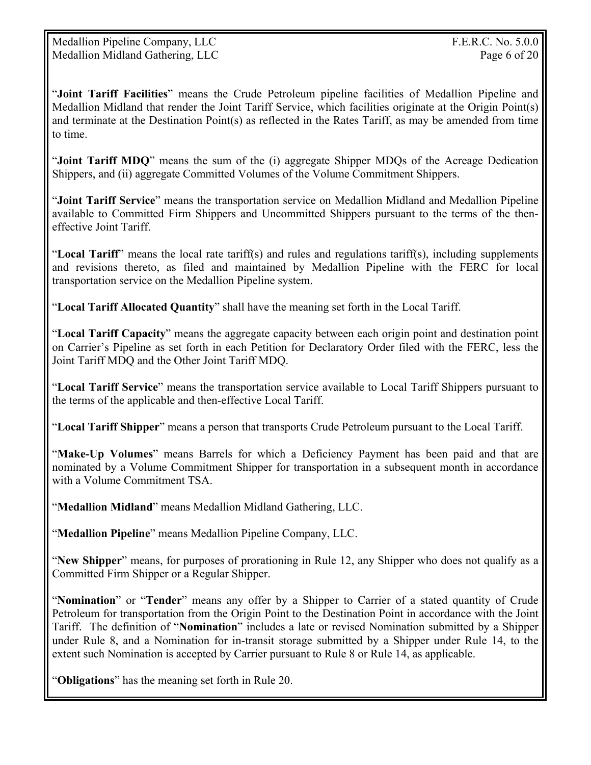"**Joint Tariff Facilities**" means the Crude Petroleum pipeline facilities of Medallion Pipeline and Medallion Midland that render the Joint Tariff Service, which facilities originate at the Origin Point(s) and terminate at the Destination Point(s) as reflected in the Rates Tariff, as may be amended from time to time.

"**Joint Tariff MDQ**" means the sum of the (i) aggregate Shipper MDQs of the Acreage Dedication Shippers, and (ii) aggregate Committed Volumes of the Volume Commitment Shippers.

"**Joint Tariff Service**" means the transportation service on Medallion Midland and Medallion Pipeline available to Committed Firm Shippers and Uncommitted Shippers pursuant to the terms of the theneffective Joint Tariff.

"**Local Tariff**" means the local rate tariff(s) and rules and regulations tariff(s), including supplements and revisions thereto, as filed and maintained by Medallion Pipeline with the FERC for local transportation service on the Medallion Pipeline system.

"**Local Tariff Allocated Quantity**" shall have the meaning set forth in the Local Tariff.

"**Local Tariff Capacity**" means the aggregate capacity between each origin point and destination point on Carrier's Pipeline as set forth in each Petition for Declaratory Order filed with the FERC, less the Joint Tariff MDQ and the Other Joint Tariff MDQ.

"**Local Tariff Service**" means the transportation service available to Local Tariff Shippers pursuant to the terms of the applicable and then-effective Local Tariff.

"**Local Tariff Shipper**" means a person that transports Crude Petroleum pursuant to the Local Tariff.

"**Make-Up Volumes**" means Barrels for which a Deficiency Payment has been paid and that are nominated by a Volume Commitment Shipper for transportation in a subsequent month in accordance with a Volume Commitment TSA.

"**Medallion Midland**" means Medallion Midland Gathering, LLC.

"**Medallion Pipeline**" means Medallion Pipeline Company, LLC.

"**New Shipper**" means, for purposes of prorationing in Rule 12, any Shipper who does not qualify as a Committed Firm Shipper or a Regular Shipper.

"**Nomination**" or "**Tender**" means any offer by a Shipper to Carrier of a stated quantity of Crude Petroleum for transportation from the Origin Point to the Destination Point in accordance with the Joint Tariff. The definition of "**Nomination**" includes a late or revised Nomination submitted by a Shipper under Rule 8, and a Nomination for in-transit storage submitted by a Shipper under Rule 14, to the extent such Nomination is accepted by Carrier pursuant to Rule 8 or Rule 14, as applicable.

"**Obligations**" has the meaning set forth in Rule 20.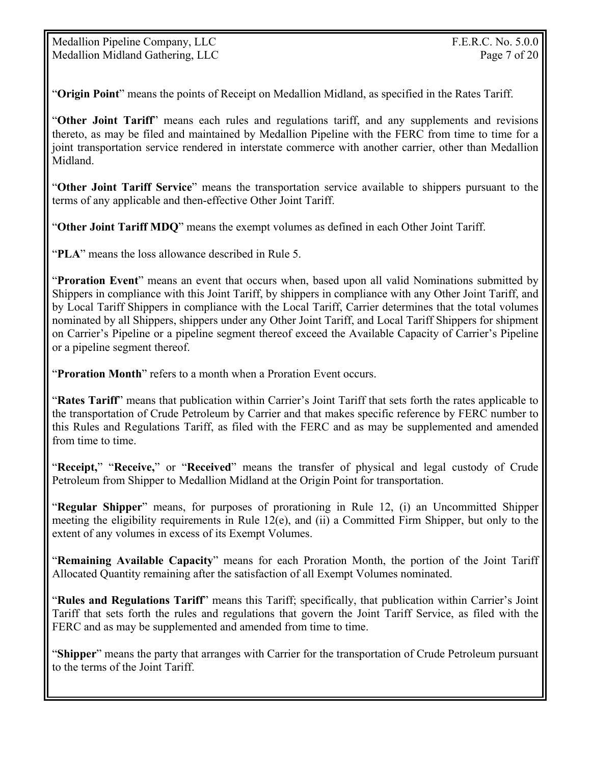"**Origin Point**" means the points of Receipt on Medallion Midland, as specified in the Rates Tariff.

"**Other Joint Tariff**" means each rules and regulations tariff, and any supplements and revisions thereto, as may be filed and maintained by Medallion Pipeline with the FERC from time to time for a joint transportation service rendered in interstate commerce with another carrier, other than Medallion Midland.

"**Other Joint Tariff Service**" means the transportation service available to shippers pursuant to the terms of any applicable and then-effective Other Joint Tariff.

"**Other Joint Tariff MDQ**" means the exempt volumes as defined in each Other Joint Tariff.

"**PLA**" means the loss allowance described in Rule 5.

"**Proration Event**" means an event that occurs when, based upon all valid Nominations submitted by Shippers in compliance with this Joint Tariff, by shippers in compliance with any Other Joint Tariff, and by Local Tariff Shippers in compliance with the Local Tariff, Carrier determines that the total volumes nominated by all Shippers, shippers under any Other Joint Tariff, and Local Tariff Shippers for shipment on Carrier's Pipeline or a pipeline segment thereof exceed the Available Capacity of Carrier's Pipeline or a pipeline segment thereof.

"**Proration Month**" refers to a month when a Proration Event occurs.

"**Rates Tariff**" means that publication within Carrier's Joint Tariff that sets forth the rates applicable to the transportation of Crude Petroleum by Carrier and that makes specific reference by FERC number to this Rules and Regulations Tariff, as filed with the FERC and as may be supplemented and amended from time to time.

"**Receipt,**" "**Receive,**" or "**Received**" means the transfer of physical and legal custody of Crude Petroleum from Shipper to Medallion Midland at the Origin Point for transportation.

"**Regular Shipper**" means, for purposes of prorationing in Rule 12, (i) an Uncommitted Shipper meeting the eligibility requirements in Rule 12(e), and (ii) a Committed Firm Shipper, but only to the extent of any volumes in excess of its Exempt Volumes.

"**Remaining Available Capacity**" means for each Proration Month, the portion of the Joint Tariff Allocated Quantity remaining after the satisfaction of all Exempt Volumes nominated.

"**Rules and Regulations Tariff**" means this Tariff; specifically, that publication within Carrier's Joint Tariff that sets forth the rules and regulations that govern the Joint Tariff Service, as filed with the FERC and as may be supplemented and amended from time to time.

"**Shipper**" means the party that arranges with Carrier for the transportation of Crude Petroleum pursuant to the terms of the Joint Tariff.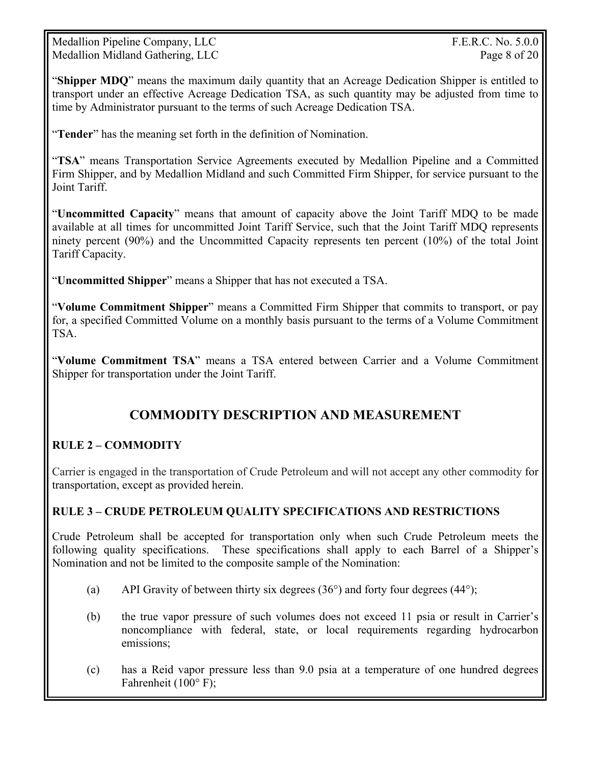Medallion Pipeline Company, LLC  $F.E.R.C. No. 5.0.0$ Medallion Midland Gathering, LLC Page 8 of 20

"**Shipper MDQ**" means the maximum daily quantity that an Acreage Dedication Shipper is entitled to transport under an effective Acreage Dedication TSA, as such quantity may be adjusted from time to time by Administrator pursuant to the terms of such Acreage Dedication TSA.

"**Tender**" has the meaning set forth in the definition of Nomination.

"**TSA**" means Transportation Service Agreements executed by Medallion Pipeline and a Committed Firm Shipper, and by Medallion Midland and such Committed Firm Shipper, for service pursuant to the Joint Tariff.

"**Uncommitted Capacity**" means that amount of capacity above the Joint Tariff MDQ to be made available at all times for uncommitted Joint Tariff Service, such that the Joint Tariff MDQ represents ninety percent (90%) and the Uncommitted Capacity represents ten percent (10%) of the total Joint Tariff Capacity.

"**Uncommitted Shipper**" means a Shipper that has not executed a TSA.

"**Volume Commitment Shipper**" means a Committed Firm Shipper that commits to transport, or pay for, a specified Committed Volume on a monthly basis pursuant to the terms of a Volume Commitment TSA.

"**Volume Commitment TSA**" means a TSA entered between Carrier and a Volume Commitment Shipper for transportation under the Joint Tariff.

# **COMMODITY DESCRIPTION AND MEASUREMENT**

# **RULE 2 – COMMODITY**

Carrier is engaged in the transportation of Crude Petroleum and will not accept any other commodity for transportation, except as provided herein.

#### **RULE 3 – CRUDE PETROLEUM QUALITY SPECIFICATIONS AND RESTRICTIONS**

Crude Petroleum shall be accepted for transportation only when such Crude Petroleum meets the following quality specifications. These specifications shall apply to each Barrel of a Shipper's Nomination and not be limited to the composite sample of the Nomination:

- (a) API Gravity of between thirty six degrees  $(36^{\circ})$  and forty four degrees  $(44^{\circ})$ ;
- (b) the true vapor pressure of such volumes does not exceed 11 psia or result in Carrier's noncompliance with federal, state, or local requirements regarding hydrocarbon emissions;
- (c) has a Reid vapor pressure less than 9.0 psia at a temperature of one hundred degrees Fahrenheit (100° F);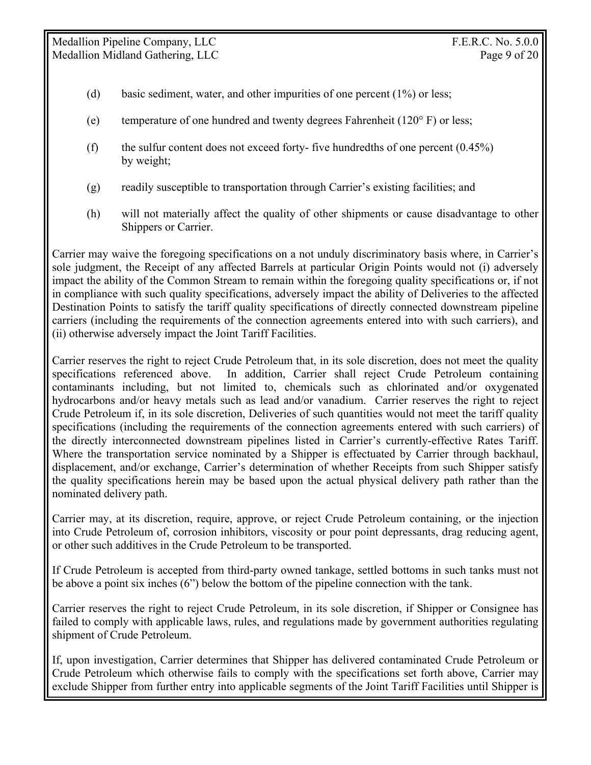- (d) basic sediment, water, and other impurities of one percent (1%) or less;
- (e) temperature of one hundred and twenty degrees Fahrenheit ( $120^\circ$  F) or less;
- (f) the sulfur content does not exceed forty- five hundredths of one percent  $(0.45\%)$ by weight;
- (g) readily susceptible to transportation through Carrier's existing facilities; and
- (h) will not materially affect the quality of other shipments or cause disadvantage to other Shippers or Carrier.

Carrier may waive the foregoing specifications on a not unduly discriminatory basis where, in Carrier's sole judgment, the Receipt of any affected Barrels at particular Origin Points would not (i) adversely impact the ability of the Common Stream to remain within the foregoing quality specifications or, if not in compliance with such quality specifications, adversely impact the ability of Deliveries to the affected Destination Points to satisfy the tariff quality specifications of directly connected downstream pipeline carriers (including the requirements of the connection agreements entered into with such carriers), and (ii) otherwise adversely impact the Joint Tariff Facilities.

Carrier reserves the right to reject Crude Petroleum that, in its sole discretion, does not meet the quality specifications referenced above. In addition, Carrier shall reject Crude Petroleum containing contaminants including, but not limited to, chemicals such as chlorinated and/or oxygenated hydrocarbons and/or heavy metals such as lead and/or vanadium. Carrier reserves the right to reject Crude Petroleum if, in its sole discretion, Deliveries of such quantities would not meet the tariff quality specifications (including the requirements of the connection agreements entered with such carriers) of the directly interconnected downstream pipelines listed in Carrier's currently-effective Rates Tariff. Where the transportation service nominated by a Shipper is effectuated by Carrier through backhaul, displacement, and/or exchange, Carrier's determination of whether Receipts from such Shipper satisfy the quality specifications herein may be based upon the actual physical delivery path rather than the nominated delivery path.

Carrier may, at its discretion, require, approve, or reject Crude Petroleum containing, or the injection into Crude Petroleum of, corrosion inhibitors, viscosity or pour point depressants, drag reducing agent, or other such additives in the Crude Petroleum to be transported.

If Crude Petroleum is accepted from third-party owned tankage, settled bottoms in such tanks must not be above a point six inches (6") below the bottom of the pipeline connection with the tank.

Carrier reserves the right to reject Crude Petroleum, in its sole discretion, if Shipper or Consignee has failed to comply with applicable laws, rules, and regulations made by government authorities regulating shipment of Crude Petroleum.

If, upon investigation, Carrier determines that Shipper has delivered contaminated Crude Petroleum or Crude Petroleum which otherwise fails to comply with the specifications set forth above, Carrier may exclude Shipper from further entry into applicable segments of the Joint Tariff Facilities until Shipper is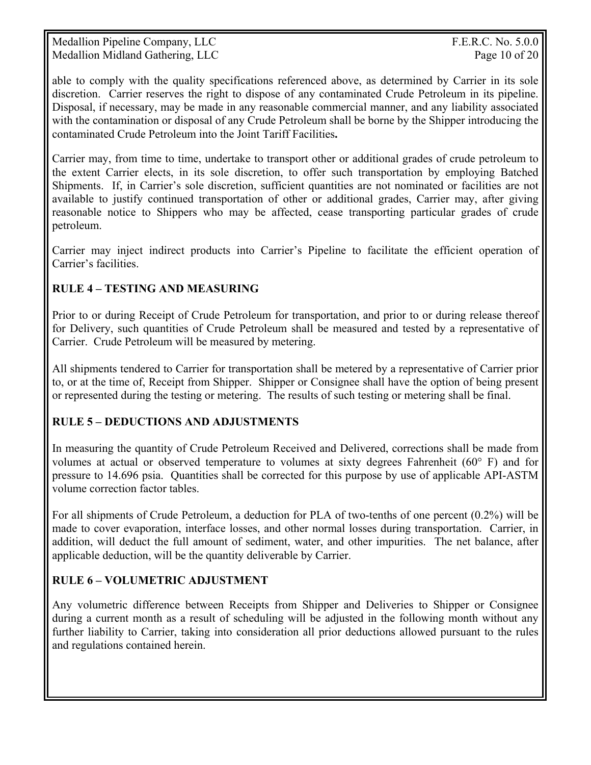Medallion Pipeline Company, LLC The Company of the Company of the Company of the Company of the Company of the Company of the Company of the Company of the Company of the Company of the Company of the Company of the Compan Medallion Midland Gathering, LLC Page 10 of 20

able to comply with the quality specifications referenced above, as determined by Carrier in its sole discretion. Carrier reserves the right to dispose of any contaminated Crude Petroleum in its pipeline. Disposal, if necessary, may be made in any reasonable commercial manner, and any liability associated with the contamination or disposal of any Crude Petroleum shall be borne by the Shipper introducing the contaminated Crude Petroleum into the Joint Tariff Facilities**.**

Carrier may, from time to time, undertake to transport other or additional grades of crude petroleum to the extent Carrier elects, in its sole discretion, to offer such transportation by employing Batched Shipments. If, in Carrier's sole discretion, sufficient quantities are not nominated or facilities are not available to justify continued transportation of other or additional grades, Carrier may, after giving reasonable notice to Shippers who may be affected, cease transporting particular grades of crude petroleum.

Carrier may inject indirect products into Carrier's Pipeline to facilitate the efficient operation of Carrier's facilities.

# **RULE 4 – TESTING AND MEASURING**

Prior to or during Receipt of Crude Petroleum for transportation, and prior to or during release thereof for Delivery, such quantities of Crude Petroleum shall be measured and tested by a representative of Carrier. Crude Petroleum will be measured by metering.

All shipments tendered to Carrier for transportation shall be metered by a representative of Carrier prior to, or at the time of, Receipt from Shipper. Shipper or Consignee shall have the option of being present or represented during the testing or metering. The results of such testing or metering shall be final.

# **RULE 5 – DEDUCTIONS AND ADJUSTMENTS**

In measuring the quantity of Crude Petroleum Received and Delivered, corrections shall be made from volumes at actual or observed temperature to volumes at sixty degrees Fahrenheit (60° F) and for pressure to 14.696 psia. Quantities shall be corrected for this purpose by use of applicable API-ASTM volume correction factor tables.

For all shipments of Crude Petroleum, a deduction for PLA of two-tenths of one percent (0.2%) will be made to cover evaporation, interface losses, and other normal losses during transportation. Carrier, in addition, will deduct the full amount of sediment, water, and other impurities. The net balance, after applicable deduction, will be the quantity deliverable by Carrier.

# **RULE 6 – VOLUMETRIC ADJUSTMENT**

Any volumetric difference between Receipts from Shipper and Deliveries to Shipper or Consignee during a current month as a result of scheduling will be adjusted in the following month without any further liability to Carrier, taking into consideration all prior deductions allowed pursuant to the rules and regulations contained herein.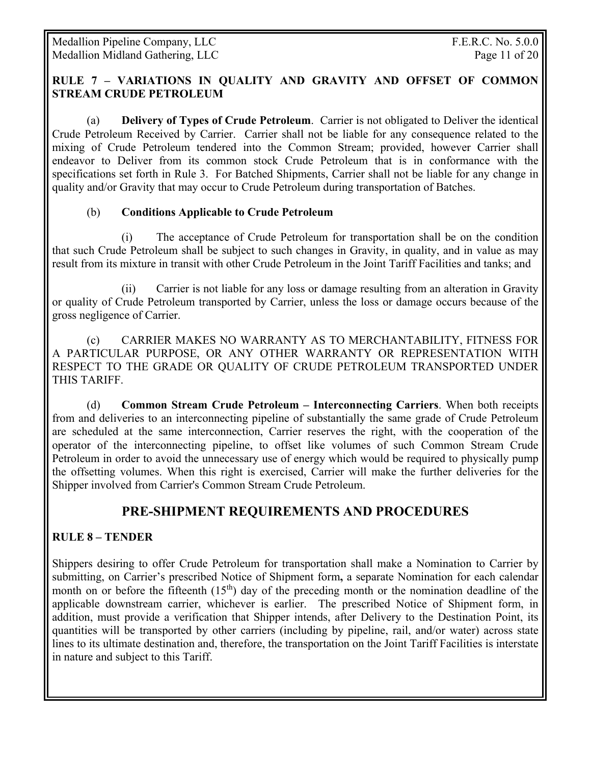#### **RULE 7 – VARIATIONS IN QUALITY AND GRAVITY AND OFFSET OF COMMON STREAM CRUDE PETROLEUM**

(a) **Delivery of Types of Crude Petroleum**. Carrier is not obligated to Deliver the identical Crude Petroleum Received by Carrier. Carrier shall not be liable for any consequence related to the mixing of Crude Petroleum tendered into the Common Stream; provided, however Carrier shall endeavor to Deliver from its common stock Crude Petroleum that is in conformance with the specifications set forth in Rule 3. For Batched Shipments, Carrier shall not be liable for any change in quality and/or Gravity that may occur to Crude Petroleum during transportation of Batches.

#### (b) **Conditions Applicable to Crude Petroleum**

 (i) The acceptance of Crude Petroleum for transportation shall be on the condition that such Crude Petroleum shall be subject to such changes in Gravity, in quality, and in value as may result from its mixture in transit with other Crude Petroleum in the Joint Tariff Facilities and tanks; and

 (ii) Carrier is not liable for any loss or damage resulting from an alteration in Gravity or quality of Crude Petroleum transported by Carrier, unless the loss or damage occurs because of the gross negligence of Carrier.

 (c) CARRIER MAKES NO WARRANTY AS TO MERCHANTABILITY, FITNESS FOR A PARTICULAR PURPOSE, OR ANY OTHER WARRANTY OR REPRESENTATION WITH RESPECT TO THE GRADE OR QUALITY OF CRUDE PETROLEUM TRANSPORTED UNDER THIS TARIFF.

 (d) **Common Stream Crude Petroleum – Interconnecting Carriers**. When both receipts from and deliveries to an interconnecting pipeline of substantially the same grade of Crude Petroleum are scheduled at the same interconnection, Carrier reserves the right, with the cooperation of the operator of the interconnecting pipeline, to offset like volumes of such Common Stream Crude Petroleum in order to avoid the unnecessary use of energy which would be required to physically pump the offsetting volumes. When this right is exercised, Carrier will make the further deliveries for the Shipper involved from Carrier's Common Stream Crude Petroleum.

# **PRE-SHIPMENT REQUIREMENTS AND PROCEDURES**

#### **RULE 8 – TENDER**

Shippers desiring to offer Crude Petroleum for transportation shall make a Nomination to Carrier by submitting, on Carrier's prescribed Notice of Shipment form**,** a separate Nomination for each calendar month on or before the fifteenth  $(15<sup>th</sup>)$  day of the preceding month or the nomination deadline of the applicable downstream carrier, whichever is earlier. The prescribed Notice of Shipment form, in addition, must provide a verification that Shipper intends, after Delivery to the Destination Point, its quantities will be transported by other carriers (including by pipeline, rail, and/or water) across state lines to its ultimate destination and, therefore, the transportation on the Joint Tariff Facilities is interstate in nature and subject to this Tariff.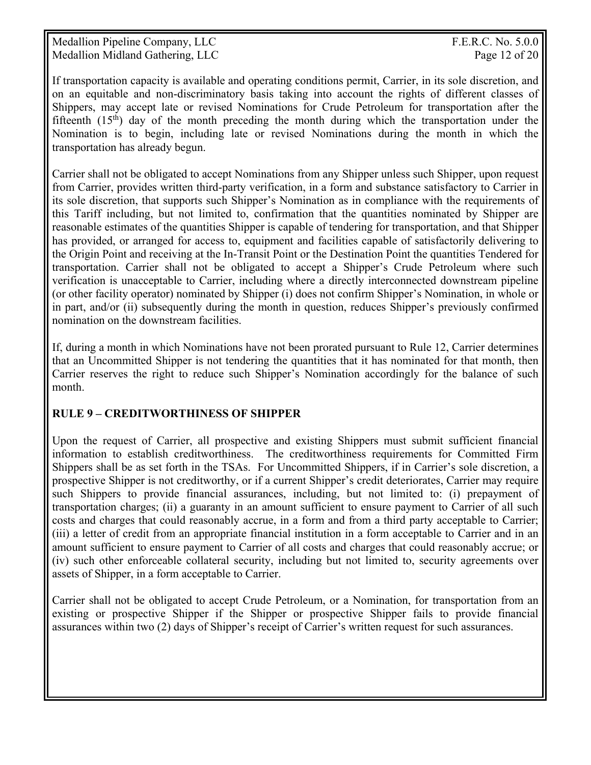Medallion Pipeline Company, LLC The Company of the Company of the Company of the Company of the Company of the Company of the Company of the Company of the Company of the Company of the Company of the Company of the Compan Medallion Midland Gathering, LLC **Page 12 of 20** 

If transportation capacity is available and operating conditions permit, Carrier, in its sole discretion, and on an equitable and non-discriminatory basis taking into account the rights of different classes of Shippers, may accept late or revised Nominations for Crude Petroleum for transportation after the fifteenth  $(15<sup>th</sup>)$  day of the month preceding the month during which the transportation under the Nomination is to begin, including late or revised Nominations during the month in which the transportation has already begun.

Carrier shall not be obligated to accept Nominations from any Shipper unless such Shipper, upon request from Carrier, provides written third-party verification, in a form and substance satisfactory to Carrier in its sole discretion, that supports such Shipper's Nomination as in compliance with the requirements of this Tariff including, but not limited to, confirmation that the quantities nominated by Shipper are reasonable estimates of the quantities Shipper is capable of tendering for transportation, and that Shipper has provided, or arranged for access to, equipment and facilities capable of satisfactorily delivering to the Origin Point and receiving at the In-Transit Point or the Destination Point the quantities Tendered for transportation. Carrier shall not be obligated to accept a Shipper's Crude Petroleum where such verification is unacceptable to Carrier, including where a directly interconnected downstream pipeline (or other facility operator) nominated by Shipper (i) does not confirm Shipper's Nomination, in whole or in part, and/or (ii) subsequently during the month in question, reduces Shipper's previously confirmed nomination on the downstream facilities.

If, during a month in which Nominations have not been prorated pursuant to Rule 12, Carrier determines that an Uncommitted Shipper is not tendering the quantities that it has nominated for that month, then Carrier reserves the right to reduce such Shipper's Nomination accordingly for the balance of such month.

# **RULE 9 – CREDITWORTHINESS OF SHIPPER**

Upon the request of Carrier, all prospective and existing Shippers must submit sufficient financial information to establish creditworthiness. The creditworthiness requirements for Committed Firm Shippers shall be as set forth in the TSAs. For Uncommitted Shippers, if in Carrier's sole discretion, a prospective Shipper is not creditworthy, or if a current Shipper's credit deteriorates, Carrier may require such Shippers to provide financial assurances, including, but not limited to: (i) prepayment of transportation charges; (ii) a guaranty in an amount sufficient to ensure payment to Carrier of all such costs and charges that could reasonably accrue, in a form and from a third party acceptable to Carrier; (iii) a letter of credit from an appropriate financial institution in a form acceptable to Carrier and in an amount sufficient to ensure payment to Carrier of all costs and charges that could reasonably accrue; or (iv) such other enforceable collateral security, including but not limited to, security agreements over assets of Shipper, in a form acceptable to Carrier.

Carrier shall not be obligated to accept Crude Petroleum, or a Nomination, for transportation from an existing or prospective Shipper if the Shipper or prospective Shipper fails to provide financial assurances within two (2) days of Shipper's receipt of Carrier's written request for such assurances.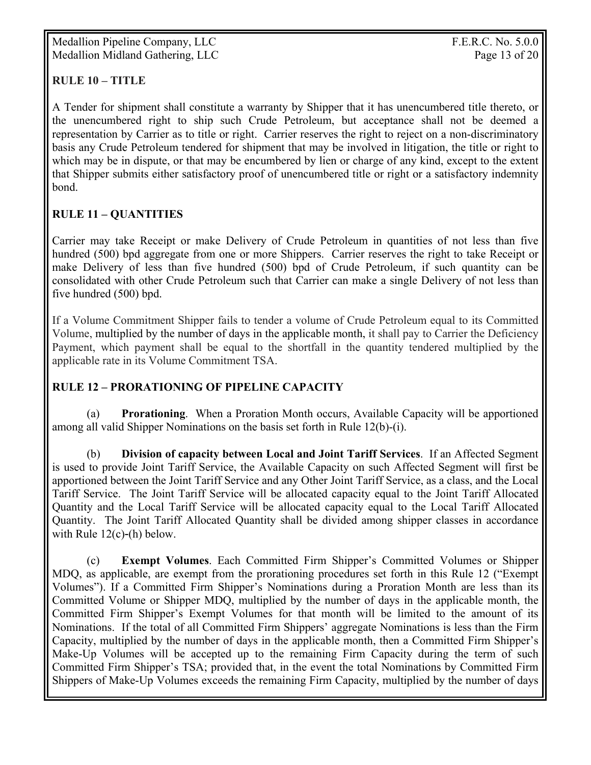Medallion Pipeline Company, LLC F.E.R.C. No. 5.0.0 Medallion Midland Gathering, LLC Page 13 of 20

# **RULE 10 – TITLE**

A Tender for shipment shall constitute a warranty by Shipper that it has unencumbered title thereto, or the unencumbered right to ship such Crude Petroleum, but acceptance shall not be deemed a representation by Carrier as to title or right. Carrier reserves the right to reject on a non-discriminatory basis any Crude Petroleum tendered for shipment that may be involved in litigation, the title or right to which may be in dispute, or that may be encumbered by lien or charge of any kind, except to the extent that Shipper submits either satisfactory proof of unencumbered title or right or a satisfactory indemnity bond.

# **RULE 11 – QUANTITIES**

Carrier may take Receipt or make Delivery of Crude Petroleum in quantities of not less than five hundred (500) bpd aggregate from one or more Shippers. Carrier reserves the right to take Receipt or make Delivery of less than five hundred (500) bpd of Crude Petroleum, if such quantity can be consolidated with other Crude Petroleum such that Carrier can make a single Delivery of not less than five hundred (500) bpd.

If a Volume Commitment Shipper fails to tender a volume of Crude Petroleum equal to its Committed Volume, multiplied by the number of days in the applicable month, it shall pay to Carrier the Deficiency Payment, which payment shall be equal to the shortfall in the quantity tendered multiplied by the applicable rate in its Volume Commitment TSA.

#### **RULE 12 – PRORATIONING OF PIPELINE CAPACITY**

 (a) **Prorationing**. When a Proration Month occurs, Available Capacity will be apportioned among all valid Shipper Nominations on the basis set forth in Rule 12(b)-(i).

(b) **Division of capacity between Local and Joint Tariff Services**. If an Affected Segment is used to provide Joint Tariff Service, the Available Capacity on such Affected Segment will first be apportioned between the Joint Tariff Service and any Other Joint Tariff Service, as a class, and the Local Tariff Service. The Joint Tariff Service will be allocated capacity equal to the Joint Tariff Allocated Quantity and the Local Tariff Service will be allocated capacity equal to the Local Tariff Allocated Quantity. The Joint Tariff Allocated Quantity shall be divided among shipper classes in accordance with Rule 12(c)-(h) below.

 (c) **Exempt Volumes**. Each Committed Firm Shipper's Committed Volumes or Shipper MDQ, as applicable, are exempt from the prorationing procedures set forth in this Rule 12 ("Exempt Volumes"). If a Committed Firm Shipper's Nominations during a Proration Month are less than its Committed Volume or Shipper MDQ, multiplied by the number of days in the applicable month, the Committed Firm Shipper's Exempt Volumes for that month will be limited to the amount of its Nominations. If the total of all Committed Firm Shippers' aggregate Nominations is less than the Firm Capacity, multiplied by the number of days in the applicable month, then a Committed Firm Shipper's Make-Up Volumes will be accepted up to the remaining Firm Capacity during the term of such Committed Firm Shipper's TSA; provided that, in the event the total Nominations by Committed Firm Shippers of Make-Up Volumes exceeds the remaining Firm Capacity, multiplied by the number of days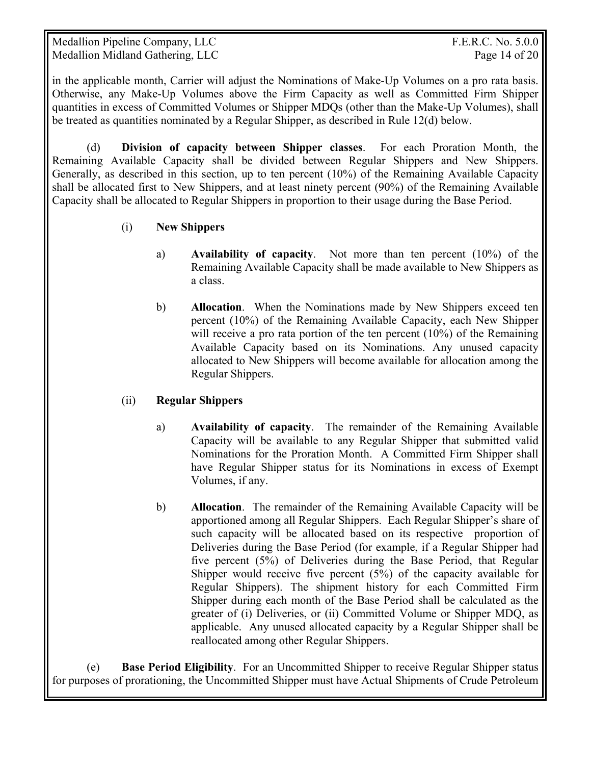Medallion Pipeline Company, LLC  $F.E.R.C. No. 5.0.0$ Medallion Midland Gathering, LLC Page 14 of 20

in the applicable month, Carrier will adjust the Nominations of Make-Up Volumes on a pro rata basis. Otherwise, any Make-Up Volumes above the Firm Capacity as well as Committed Firm Shipper quantities in excess of Committed Volumes or Shipper MDQs (other than the Make-Up Volumes), shall be treated as quantities nominated by a Regular Shipper, as described in Rule 12(d) below.

(d) **Division of capacity between Shipper classes**. For each Proration Month, the Remaining Available Capacity shall be divided between Regular Shippers and New Shippers. Generally, as described in this section, up to ten percent (10%) of the Remaining Available Capacity shall be allocated first to New Shippers, and at least ninety percent (90%) of the Remaining Available Capacity shall be allocated to Regular Shippers in proportion to their usage during the Base Period.

- (i) **New Shippers** 
	- a) **Availability of capacity**. Not more than ten percent (10%) of the Remaining Available Capacity shall be made available to New Shippers as a class.
	- b) **Allocation**. When the Nominations made by New Shippers exceed ten percent (10%) of the Remaining Available Capacity, each New Shipper will receive a pro rata portion of the ten percent (10%) of the Remaining Available Capacity based on its Nominations. Any unused capacity allocated to New Shippers will become available for allocation among the Regular Shippers.

# (ii) **Regular Shippers**

- a) **Availability of capacity**. The remainder of the Remaining Available Capacity will be available to any Regular Shipper that submitted valid Nominations for the Proration Month. A Committed Firm Shipper shall have Regular Shipper status for its Nominations in excess of Exempt Volumes, if any.
- b) **Allocation**. The remainder of the Remaining Available Capacity will be apportioned among all Regular Shippers. Each Regular Shipper's share of such capacity will be allocated based on its respective proportion of Deliveries during the Base Period (for example, if a Regular Shipper had five percent (5%) of Deliveries during the Base Period, that Regular Shipper would receive five percent (5%) of the capacity available for Regular Shippers). The shipment history for each Committed Firm Shipper during each month of the Base Period shall be calculated as the greater of (i) Deliveries, or (ii) Committed Volume or Shipper MDQ, as applicable. Any unused allocated capacity by a Regular Shipper shall be reallocated among other Regular Shippers.

 (e) **Base Period Eligibility**. For an Uncommitted Shipper to receive Regular Shipper status for purposes of prorationing, the Uncommitted Shipper must have Actual Shipments of Crude Petroleum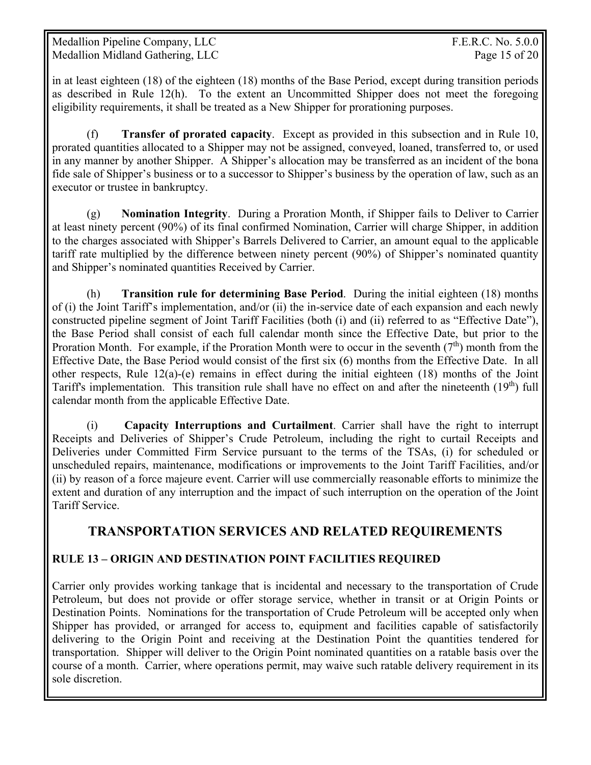in at least eighteen (18) of the eighteen (18) months of the Base Period, except during transition periods as described in Rule 12(h). To the extent an Uncommitted Shipper does not meet the foregoing eligibility requirements, it shall be treated as a New Shipper for prorationing purposes.

 (f) **Transfer of prorated capacity**. Except as provided in this subsection and in Rule 10, prorated quantities allocated to a Shipper may not be assigned, conveyed, loaned, transferred to, or used in any manner by another Shipper. A Shipper's allocation may be transferred as an incident of the bona fide sale of Shipper's business or to a successor to Shipper's business by the operation of law, such as an executor or trustee in bankruptcy.

 (g) **Nomination Integrity**. During a Proration Month, if Shipper fails to Deliver to Carrier at least ninety percent (90%) of its final confirmed Nomination, Carrier will charge Shipper, in addition to the charges associated with Shipper's Barrels Delivered to Carrier, an amount equal to the applicable tariff rate multiplied by the difference between ninety percent (90%) of Shipper's nominated quantity and Shipper's nominated quantities Received by Carrier.

(h) **Transition rule for determining Base Period**. During the initial eighteen (18) months of (i) the Joint Tariff's implementation, and/or (ii) the in-service date of each expansion and each newly constructed pipeline segment of Joint Tariff Facilities (both (i) and (ii) referred to as "Effective Date"), the Base Period shall consist of each full calendar month since the Effective Date, but prior to the Proration Month. For example, if the Proration Month were to occur in the seventh  $(7<sup>th</sup>)$  month from the Effective Date, the Base Period would consist of the first six (6) months from the Effective Date. In all other respects, Rule  $12(a)-(e)$  remains in effect during the initial eighteen  $(18)$  months of the Joint Tariff's implementation. This transition rule shall have no effect on and after the nineteenth  $(19<sup>th</sup>)$  full calendar month from the applicable Effective Date.

(i) **Capacity Interruptions and Curtailment**. Carrier shall have the right to interrupt Receipts and Deliveries of Shipper's Crude Petroleum, including the right to curtail Receipts and Deliveries under Committed Firm Service pursuant to the terms of the TSAs, (i) for scheduled or unscheduled repairs, maintenance, modifications or improvements to the Joint Tariff Facilities, and/or (ii) by reason of a force majeure event. Carrier will use commercially reasonable efforts to minimize the extent and duration of any interruption and the impact of such interruption on the operation of the Joint Tariff Service.

# **TRANSPORTATION SERVICES AND RELATED REQUIREMENTS**

# **RULE 13 – ORIGIN AND DESTINATION POINT FACILITIES REQUIRED**

Carrier only provides working tankage that is incidental and necessary to the transportation of Crude Petroleum, but does not provide or offer storage service, whether in transit or at Origin Points or Destination Points. Nominations for the transportation of Crude Petroleum will be accepted only when Shipper has provided, or arranged for access to, equipment and facilities capable of satisfactorily delivering to the Origin Point and receiving at the Destination Point the quantities tendered for transportation. Shipper will deliver to the Origin Point nominated quantities on a ratable basis over the course of a month. Carrier, where operations permit, may waive such ratable delivery requirement in its sole discretion.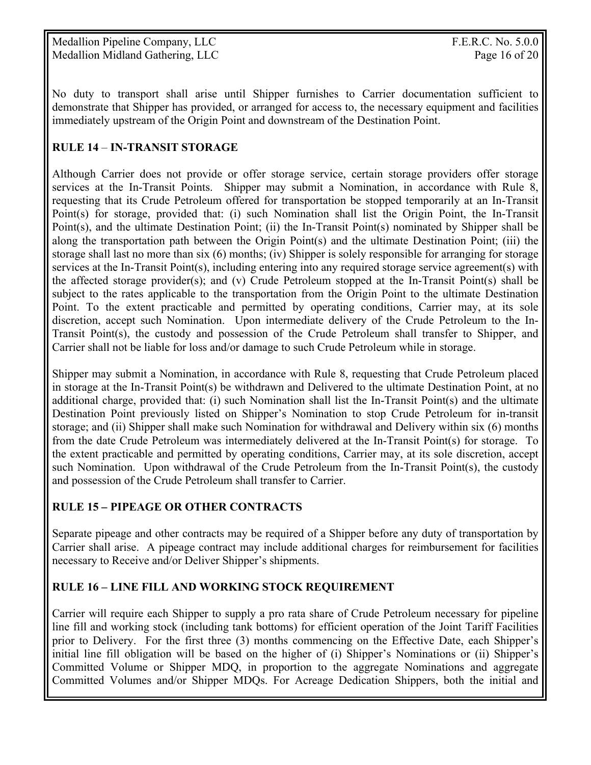Medallion Pipeline Company, LLC The Company of the Company of the Company of the Company of the Company of the Company of the Company of the Company of the Company of the Company of the Company of the Company of the Compan Medallion Midland Gathering, LLC Page 16 of 20

No duty to transport shall arise until Shipper furnishes to Carrier documentation sufficient to demonstrate that Shipper has provided, or arranged for access to, the necessary equipment and facilities immediately upstream of the Origin Point and downstream of the Destination Point.

# **RULE 14** – **IN-TRANSIT STORAGE**

Although Carrier does not provide or offer storage service, certain storage providers offer storage services at the In-Transit Points. Shipper may submit a Nomination, in accordance with Rule 8, requesting that its Crude Petroleum offered for transportation be stopped temporarily at an In-Transit Point(s) for storage, provided that: (i) such Nomination shall list the Origin Point, the In-Transit Point(s), and the ultimate Destination Point; (ii) the In-Transit Point(s) nominated by Shipper shall be along the transportation path between the Origin Point(s) and the ultimate Destination Point; (iii) the storage shall last no more than six (6) months; (iv) Shipper is solely responsible for arranging for storage services at the In-Transit Point(s), including entering into any required storage service agreement(s) with the affected storage provider(s); and (v) Crude Petroleum stopped at the In-Transit Point(s) shall be subject to the rates applicable to the transportation from the Origin Point to the ultimate Destination Point. To the extent practicable and permitted by operating conditions, Carrier may, at its sole discretion, accept such Nomination. Upon intermediate delivery of the Crude Petroleum to the In-Transit Point(s), the custody and possession of the Crude Petroleum shall transfer to Shipper, and Carrier shall not be liable for loss and/or damage to such Crude Petroleum while in storage.

Shipper may submit a Nomination, in accordance with Rule 8, requesting that Crude Petroleum placed in storage at the In-Transit Point(s) be withdrawn and Delivered to the ultimate Destination Point, at no additional charge, provided that: (i) such Nomination shall list the In-Transit Point(s) and the ultimate Destination Point previously listed on Shipper's Nomination to stop Crude Petroleum for in-transit storage; and (ii) Shipper shall make such Nomination for withdrawal and Delivery within six (6) months from the date Crude Petroleum was intermediately delivered at the In-Transit Point(s) for storage. To the extent practicable and permitted by operating conditions, Carrier may, at its sole discretion, accept such Nomination. Upon withdrawal of the Crude Petroleum from the In-Transit Point(s), the custody and possession of the Crude Petroleum shall transfer to Carrier.

# **RULE 15** *–* **PIPEAGE OR OTHER CONTRACTS**

Separate pipeage and other contracts may be required of a Shipper before any duty of transportation by Carrier shall arise. A pipeage contract may include additional charges for reimbursement for facilities necessary to Receive and/or Deliver Shipper's shipments.

# **RULE 16 – LINE FILL AND WORKING STOCK REQUIREMENT**

Carrier will require each Shipper to supply a pro rata share of Crude Petroleum necessary for pipeline line fill and working stock (including tank bottoms) for efficient operation of the Joint Tariff Facilities prior to Delivery. For the first three (3) months commencing on the Effective Date, each Shipper's initial line fill obligation will be based on the higher of (i) Shipper's Nominations or (ii) Shipper's Committed Volume or Shipper MDQ, in proportion to the aggregate Nominations and aggregate Committed Volumes and/or Shipper MDQs. For Acreage Dedication Shippers, both the initial and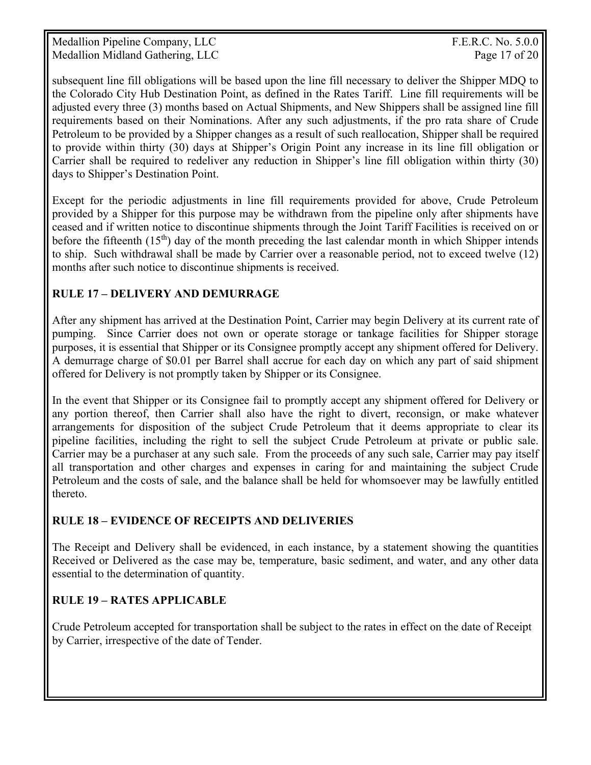Medallion Pipeline Company, LLC The Company of the Company of the Company of the Company of the Company of the Company of the Company of the Company of the Company of the Company of the Company of the Company of the Compan Medallion Midland Gathering, LLC Page 17 of 20

subsequent line fill obligations will be based upon the line fill necessary to deliver the Shipper MDQ to the Colorado City Hub Destination Point, as defined in the Rates Tariff. Line fill requirements will be adjusted every three (3) months based on Actual Shipments, and New Shippers shall be assigned line fill requirements based on their Nominations. After any such adjustments, if the pro rata share of Crude Petroleum to be provided by a Shipper changes as a result of such reallocation, Shipper shall be required to provide within thirty (30) days at Shipper's Origin Point any increase in its line fill obligation or Carrier shall be required to redeliver any reduction in Shipper's line fill obligation within thirty (30) days to Shipper's Destination Point.

Except for the periodic adjustments in line fill requirements provided for above, Crude Petroleum provided by a Shipper for this purpose may be withdrawn from the pipeline only after shipments have ceased and if written notice to discontinue shipments through the Joint Tariff Facilities is received on or before the fifteenth  $(15<sup>th</sup>)$  day of the month preceding the last calendar month in which Shipper intends to ship. Such withdrawal shall be made by Carrier over a reasonable period, not to exceed twelve (12) months after such notice to discontinue shipments is received.

# **RULE 17 – DELIVERY AND DEMURRAGE**

After any shipment has arrived at the Destination Point, Carrier may begin Delivery at its current rate of pumping. Since Carrier does not own or operate storage or tankage facilities for Shipper storage purposes, it is essential that Shipper or its Consignee promptly accept any shipment offered for Delivery. A demurrage charge of \$0.01 per Barrel shall accrue for each day on which any part of said shipment offered for Delivery is not promptly taken by Shipper or its Consignee.

In the event that Shipper or its Consignee fail to promptly accept any shipment offered for Delivery or any portion thereof, then Carrier shall also have the right to divert, reconsign, or make whatever arrangements for disposition of the subject Crude Petroleum that it deems appropriate to clear its pipeline facilities, including the right to sell the subject Crude Petroleum at private or public sale. Carrier may be a purchaser at any such sale. From the proceeds of any such sale, Carrier may pay itself all transportation and other charges and expenses in caring for and maintaining the subject Crude Petroleum and the costs of sale, and the balance shall be held for whomsoever may be lawfully entitled thereto.

# **RULE 18 – EVIDENCE OF RECEIPTS AND DELIVERIES**

The Receipt and Delivery shall be evidenced, in each instance, by a statement showing the quantities Received or Delivered as the case may be, temperature, basic sediment, and water, and any other data essential to the determination of quantity.

# **RULE 19 – RATES APPLICABLE**

Crude Petroleum accepted for transportation shall be subject to the rates in effect on the date of Receipt by Carrier, irrespective of the date of Tender.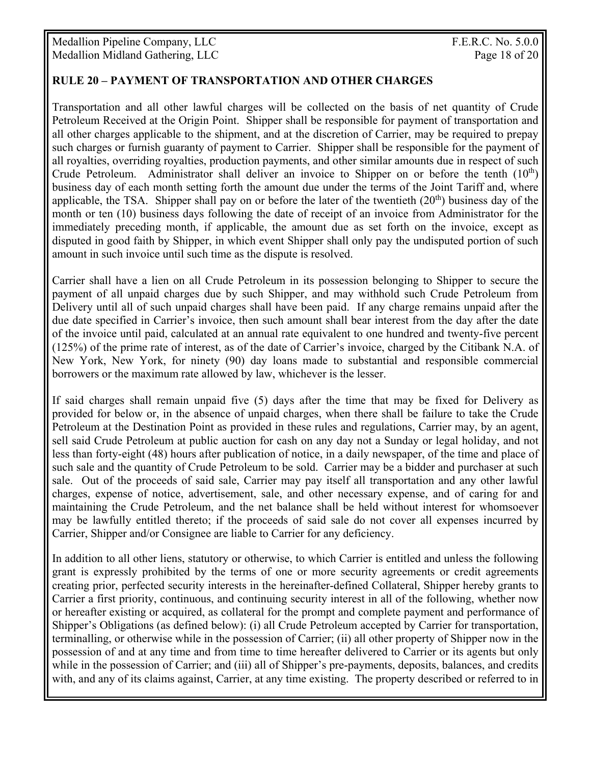## **RULE 20 – PAYMENT OF TRANSPORTATION AND OTHER CHARGES**

Transportation and all other lawful charges will be collected on the basis of net quantity of Crude Petroleum Received at the Origin Point. Shipper shall be responsible for payment of transportation and all other charges applicable to the shipment, and at the discretion of Carrier, may be required to prepay such charges or furnish guaranty of payment to Carrier. Shipper shall be responsible for the payment of all royalties, overriding royalties, production payments, and other similar amounts due in respect of such Crude Petroleum. Administrator shall deliver an invoice to Shipper on or before the tenth  $(10<sup>th</sup>)$ business day of each month setting forth the amount due under the terms of the Joint Tariff and, where applicable, the TSA. Shipper shall pay on or before the later of the twentieth  $(20<sup>th</sup>)$  business day of the month or ten (10) business days following the date of receipt of an invoice from Administrator for the immediately preceding month, if applicable, the amount due as set forth on the invoice, except as disputed in good faith by Shipper, in which event Shipper shall only pay the undisputed portion of such amount in such invoice until such time as the dispute is resolved.

Carrier shall have a lien on all Crude Petroleum in its possession belonging to Shipper to secure the payment of all unpaid charges due by such Shipper, and may withhold such Crude Petroleum from Delivery until all of such unpaid charges shall have been paid. If any charge remains unpaid after the due date specified in Carrier's invoice, then such amount shall bear interest from the day after the date of the invoice until paid, calculated at an annual rate equivalent to one hundred and twenty-five percent (125%) of the prime rate of interest, as of the date of Carrier's invoice, charged by the Citibank N.A. of New York, New York, for ninety (90) day loans made to substantial and responsible commercial borrowers or the maximum rate allowed by law, whichever is the lesser.

If said charges shall remain unpaid five (5) days after the time that may be fixed for Delivery as provided for below or, in the absence of unpaid charges, when there shall be failure to take the Crude Petroleum at the Destination Point as provided in these rules and regulations, Carrier may, by an agent, sell said Crude Petroleum at public auction for cash on any day not a Sunday or legal holiday, and not less than forty-eight (48) hours after publication of notice, in a daily newspaper, of the time and place of such sale and the quantity of Crude Petroleum to be sold. Carrier may be a bidder and purchaser at such sale. Out of the proceeds of said sale, Carrier may pay itself all transportation and any other lawful charges, expense of notice, advertisement, sale, and other necessary expense, and of caring for and maintaining the Crude Petroleum, and the net balance shall be held without interest for whomsoever may be lawfully entitled thereto; if the proceeds of said sale do not cover all expenses incurred by Carrier, Shipper and/or Consignee are liable to Carrier for any deficiency.

In addition to all other liens, statutory or otherwise, to which Carrier is entitled and unless the following grant is expressly prohibited by the terms of one or more security agreements or credit agreements creating prior, perfected security interests in the hereinafter-defined Collateral, Shipper hereby grants to Carrier a first priority, continuous, and continuing security interest in all of the following, whether now or hereafter existing or acquired, as collateral for the prompt and complete payment and performance of Shipper's Obligations (as defined below): (i) all Crude Petroleum accepted by Carrier for transportation, terminalling, or otherwise while in the possession of Carrier; (ii) all other property of Shipper now in the possession of and at any time and from time to time hereafter delivered to Carrier or its agents but only while in the possession of Carrier; and (iii) all of Shipper's pre-payments, deposits, balances, and credits with, and any of its claims against, Carrier, at any time existing. The property described or referred to in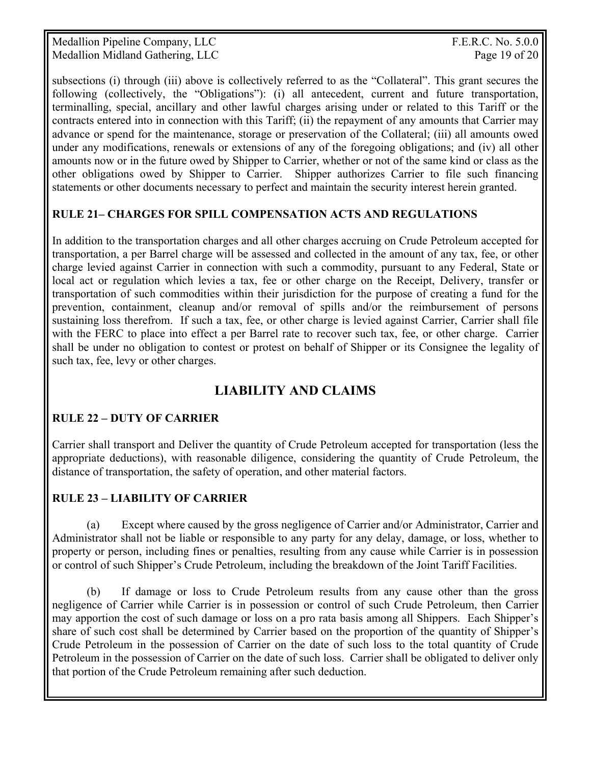Medallion Pipeline Company, LLC The Company of the Company of the Company of the Company of the Company of the Company of the Company of the Company of the Company of the Company of the Company of the Company of the Compan Medallion Midland Gathering, LLC Page 19 of 20

subsections (i) through (iii) above is collectively referred to as the "Collateral". This grant secures the following (collectively, the "Obligations"): (i) all antecedent, current and future transportation, terminalling, special, ancillary and other lawful charges arising under or related to this Tariff or the contracts entered into in connection with this Tariff; (ii) the repayment of any amounts that Carrier may advance or spend for the maintenance, storage or preservation of the Collateral; (iii) all amounts owed under any modifications, renewals or extensions of any of the foregoing obligations; and (iv) all other amounts now or in the future owed by Shipper to Carrier, whether or not of the same kind or class as the other obligations owed by Shipper to Carrier. Shipper authorizes Carrier to file such financing statements or other documents necessary to perfect and maintain the security interest herein granted.

## **RULE 21– CHARGES FOR SPILL COMPENSATION ACTS AND REGULATIONS**

In addition to the transportation charges and all other charges accruing on Crude Petroleum accepted for transportation, a per Barrel charge will be assessed and collected in the amount of any tax, fee, or other charge levied against Carrier in connection with such a commodity, pursuant to any Federal, State or local act or regulation which levies a tax, fee or other charge on the Receipt, Delivery, transfer or transportation of such commodities within their jurisdiction for the purpose of creating a fund for the prevention, containment, cleanup and/or removal of spills and/or the reimbursement of persons sustaining loss therefrom. If such a tax, fee, or other charge is levied against Carrier, Carrier shall file with the FERC to place into effect a per Barrel rate to recover such tax, fee, or other charge. Carrier shall be under no obligation to contest or protest on behalf of Shipper or its Consignee the legality of such tax, fee, levy or other charges.

# **LIABILITY AND CLAIMS**

# **RULE 22 – DUTY OF CARRIER**

Carrier shall transport and Deliver the quantity of Crude Petroleum accepted for transportation (less the appropriate deductions), with reasonable diligence, considering the quantity of Crude Petroleum, the distance of transportation, the safety of operation, and other material factors.

#### **RULE 23 – LIABILITY OF CARRIER**

 (a) Except where caused by the gross negligence of Carrier and/or Administrator, Carrier and Administrator shall not be liable or responsible to any party for any delay, damage, or loss, whether to property or person, including fines or penalties, resulting from any cause while Carrier is in possession or control of such Shipper's Crude Petroleum, including the breakdown of the Joint Tariff Facilities.

 (b) If damage or loss to Crude Petroleum results from any cause other than the gross negligence of Carrier while Carrier is in possession or control of such Crude Petroleum, then Carrier may apportion the cost of such damage or loss on a pro rata basis among all Shippers. Each Shipper's share of such cost shall be determined by Carrier based on the proportion of the quantity of Shipper's Crude Petroleum in the possession of Carrier on the date of such loss to the total quantity of Crude Petroleum in the possession of Carrier on the date of such loss. Carrier shall be obligated to deliver only that portion of the Crude Petroleum remaining after such deduction.